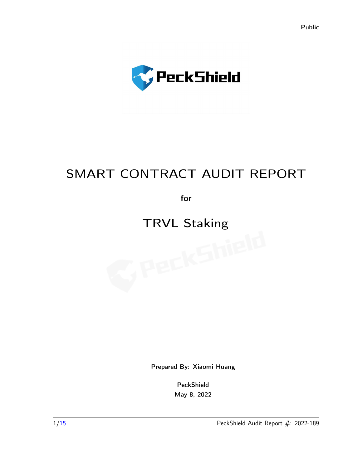

## SMART CONTRACT AUDIT REPORT

for

# TRVL Staking<br>
TRVL Staking<br>
TRVL Staking

Prepared By: [Xiaomi Huang](contact@peckshield.com)

PeckShield May 8, 2022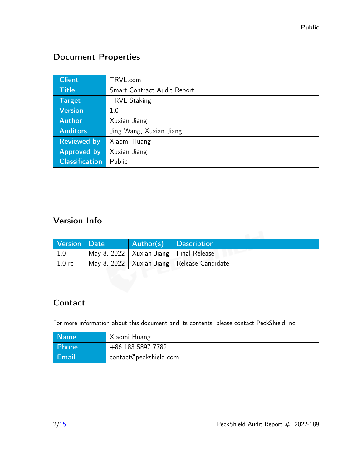## Document Properties

| <b>Client</b>         | TRVL.com                    |  |
|-----------------------|-----------------------------|--|
| <b>Title</b>          | Smart Contract Audit Report |  |
| <b>Target</b>         | <b>TRVL Staking</b>         |  |
| <b>Version</b>        | 1.0                         |  |
| <b>Author</b>         | Xuxian Jiang                |  |
| <b>Auditors</b>       | Jing Wang, Xuxian Jiang     |  |
| <b>Reviewed by</b>    | Xiaomi Huang                |  |
| Approved by           | Xuxian Jiang                |  |
| <b>Classification</b> | Public                      |  |

## Version Info

| Version Date | <b>Author(s)</b> Description               |                                                |
|--------------|--------------------------------------------|------------------------------------------------|
| 1.0          | May 8, 2022   Xuxian Jiang   Final Release |                                                |
| $1.0$ -rc    |                                            | May 8, 2022   Xuxian Jiang   Release Candidate |

## Contact

For more information about this document and its contents, please contact PeckShield Inc.

| Name         | Xiaomi Huang           |
|--------------|------------------------|
| <b>Phone</b> | +86 183 5897 7782      |
| Email        | contact@peckshield.com |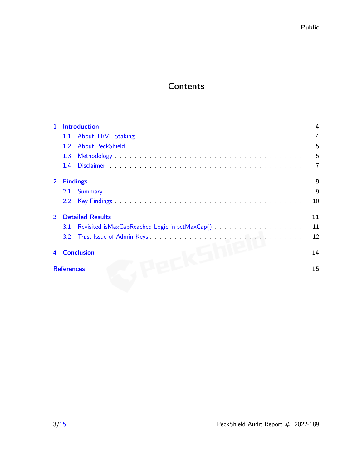## **Contents**

| $\mathbf{1}$   | <b>Introduction</b>     |    |
|----------------|-------------------------|----|
|                | 1.1                     |    |
|                | 12                      |    |
|                | 1.3                     |    |
|                | 1.4                     |    |
| $\overline{2}$ | <b>Findings</b>         | 9  |
|                |                         |    |
|                |                         |    |
| $\mathbf{3}$   | <b>Detailed Results</b> | 11 |
|                | 3.1                     |    |
|                |                         |    |
| 4              | <b>Conclusion</b>       | 14 |
|                | <b>References</b>       | 15 |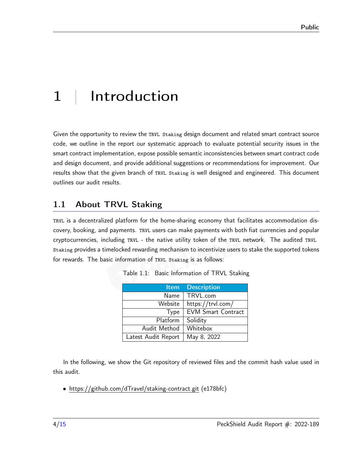# <span id="page-3-0"></span>1 | Introduction

Given the opportunity to review the TRVL Staking design document and related smart contract source code, we outline in the report our systematic approach to evaluate potential security issues in the smart contract implementation, expose possible semantic inconsistencies between smart contract code and design document, and provide additional suggestions or recommendations for improvement. Our results show that the given branch of TRVL Staking is well designed and engineered. This document outlines our audit results.

## <span id="page-3-1"></span>1.1 About TRVL Staking

TRVL is a decentralized platform for the home-sharing economy that facilitates accommodation discovery, booking, and payments. TRVL users can make payments with both fiat currencies and popular cryptocurrencies, including TRVL - the native utility token of the TRVL network. The audited TRVL Staking provides a timelocked rewarding mechanism to incentivize users to stake the supported tokens for rewards. The basic information of TRVL Staking is as follows:

| Item                | <b>Description</b>        |
|---------------------|---------------------------|
| Name                | TRVL.com                  |
| Website             | https://trvl.com/         |
| Type                | <b>EVM Smart Contract</b> |
| Platform            | Solidity                  |
| Audit Method        | Whitebox                  |
| Latest Audit Report | May 8, 2022               |

|  |  | Table 1.1: Basic Information of TRVL Staking |  |  |
|--|--|----------------------------------------------|--|--|
|--|--|----------------------------------------------|--|--|

In the following, we show the Git repository of reviewed files and the commit hash value used in this audit.

• https://github.com/dTravel/staking-contract.git (e178bfc)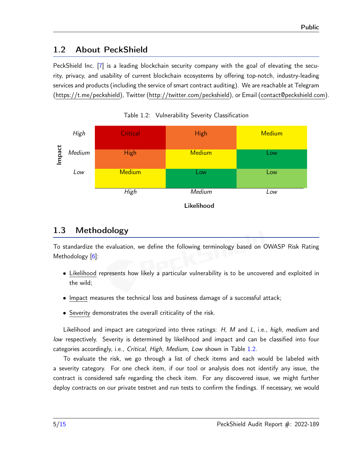## <span id="page-4-0"></span>1.2 About PeckShield

PeckShield Inc. [\[7\]](#page-14-2) is a leading blockchain security company with the goal of elevating the security, privacy, and usability of current blockchain ecosystems by offering top-notch, industry-leading services and products (including the service of smart contract auditing). We are reachable at Telegram [\(https://t.me/peckshield\)](https://t.me/peckshield), Twitter [\(http://twitter.com/peckshield\)](http://twitter.com/peckshield), or Email [\(contact@peckshield.com\)](contact@peckshield.com).

<span id="page-4-2"></span>

Table 1.2: Vulnerability Severity Classification

## <span id="page-4-1"></span>1.3 Methodology

To standardize the evaluation, we define the following terminology based on OWASP Risk Rating Methodology [\[6\]](#page-14-3):

- Likelihood represents how likely a particular vulnerability is to be uncovered and exploited in the wild;
- Impact measures the technical loss and business damage of a successful attack;
- Severity demonstrates the overall criticality of the risk.

Likelihood and impact are categorized into three ratings: H, M and L, i.e., high, medium and low respectively. Severity is determined by likelihood and impact and can be classified into four categories accordingly, i.e., Critical, High, Medium, Low shown in Table [1.2.](#page-4-2)

To evaluate the risk, we go through a list of check items and each would be labeled with a severity category. For one check item, if our tool or analysis does not identify any issue, the contract is considered safe regarding the check item. For any discovered issue, we might further deploy contracts on our private testnet and run tests to confirm the findings. If necessary, we would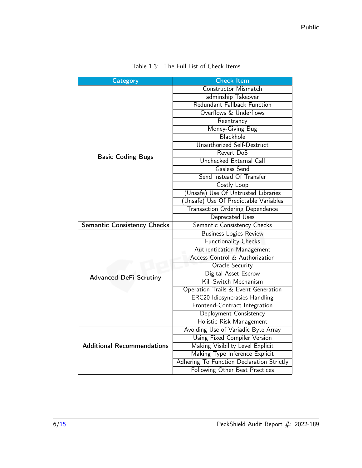<span id="page-5-0"></span>

| <b>Category</b>                    | <b>Check Item</b>                         |
|------------------------------------|-------------------------------------------|
|                                    | Constructor Mismatch                      |
|                                    | adminship Takeover                        |
|                                    | Redundant Fallback Function               |
|                                    | Overflows & Underflows                    |
|                                    | Reentrancy                                |
|                                    | Money-Giving Bug                          |
|                                    | Blackhole                                 |
|                                    | Unauthorized Self-Destruct                |
| <b>Basic Coding Bugs</b>           | Revert DoS                                |
|                                    | Unchecked External Call                   |
|                                    | Gasless Send                              |
|                                    | Send Instead Of Transfer                  |
|                                    | Costly Loop                               |
|                                    | (Unsafe) Use Of Untrusted Libraries       |
|                                    | (Unsafe) Use Of Predictable Variables     |
|                                    | <b>Transaction Ordering Dependence</b>    |
|                                    | Deprecated Uses                           |
| <b>Semantic Consistency Checks</b> | Semantic Consistency Checks               |
|                                    | <b>Business Logics Review</b>             |
|                                    | <b>Functionality Checks</b>               |
|                                    | Authentication Management                 |
|                                    | Access Control & Authorization            |
|                                    | Oracle Security                           |
| <b>Advanced DeFi Scrutiny</b>      | Digital Asset Escrow                      |
|                                    | Kill-Switch Mechanism                     |
|                                    | Operation Trails & Event Generation       |
|                                    | <b>ERC20 Idiosyncrasies Handling</b>      |
|                                    | Frontend-Contract Integration             |
|                                    | Deployment Consistency                    |
|                                    | Holistic Risk Management                  |
|                                    | Avoiding Use of Variadic Byte Array       |
|                                    | <b>Using Fixed Compiler Version</b>       |
| <b>Additional Recommendations</b>  | Making Visibility Level Explicit          |
|                                    | Making Type Inference Explicit            |
|                                    | Adhering To Function Declaration Strictly |
|                                    | Following Other Best Practices            |

| Table 1.3: The Full List of Check Items |  |  |  |  |
|-----------------------------------------|--|--|--|--|
|-----------------------------------------|--|--|--|--|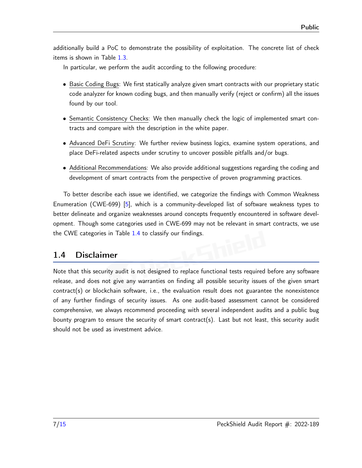additionally build a PoC to demonstrate the possibility of exploitation. The concrete list of check items is shown in Table [1.3.](#page-5-0)

In particular, we perform the audit according to the following procedure:

- Basic Coding Bugs: We first statically analyze given smart contracts with our proprietary static code analyzer for known coding bugs, and then manually verify (reject or confirm) all the issues found by our tool.
- Semantic Consistency Checks: We then manually check the logic of implemented smart contracts and compare with the description in the white paper.
- Advanced DeFi Scrutiny: We further review business logics, examine system operations, and place DeFi-related aspects under scrutiny to uncover possible pitfalls and/or bugs.
- Additional Recommendations: We also provide additional suggestions regarding the coding and development of smart contracts from the perspective of proven programming practices.

To better describe each issue we identified, we categorize the findings with Common Weakness Enumeration (CWE-699) [\[5\]](#page-14-4), which is a community-developed list of software weakness types to better delineate and organize weaknesses around concepts frequently encountered in software development. Though some categories used in CWE-699 may not be relevant in smart contracts, we use the CWE categories in Table [1.4](#page-7-0) to classify our findings.

### <span id="page-6-0"></span>1.4 Disclaimer

Note that this security audit is not designed to replace functional tests required before any software release, and does not give any warranties on finding all possible security issues of the given smart contract(s) or blockchain software, i.e., the evaluation result does not guarantee the nonexistence of any further findings of security issues. As one audit-based assessment cannot be considered comprehensive, we always recommend proceeding with several independent audits and a public bug bounty program to ensure the security of smart contract(s). Last but not least, this security audit should not be used as investment advice.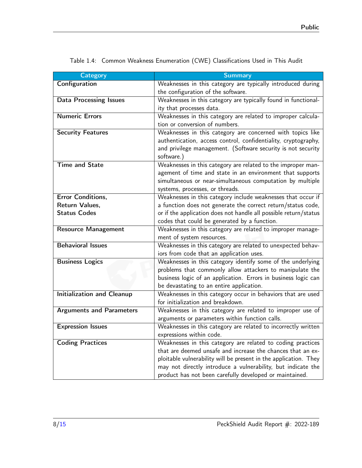<span id="page-7-0"></span>

| <b>Category</b>                   | <b>Summary</b>                                                                                    |
|-----------------------------------|---------------------------------------------------------------------------------------------------|
| Configuration                     | Weaknesses in this category are typically introduced during                                       |
|                                   | the configuration of the software.                                                                |
| <b>Data Processing Issues</b>     | Weaknesses in this category are typically found in functional-                                    |
|                                   | ity that processes data.                                                                          |
| <b>Numeric Errors</b>             | Weaknesses in this category are related to improper calcula-                                      |
|                                   | tion or conversion of numbers.                                                                    |
| <b>Security Features</b>          | Weaknesses in this category are concerned with topics like                                        |
|                                   | authentication, access control, confidentiality, cryptography,                                    |
|                                   | and privilege management. (Software security is not security<br>software.)                        |
| <b>Time and State</b>             | Weaknesses in this category are related to the improper man-                                      |
|                                   | agement of time and state in an environment that supports                                         |
|                                   | simultaneous or near-simultaneous computation by multiple                                         |
|                                   | systems, processes, or threads.                                                                   |
| <b>Error Conditions,</b>          | Weaknesses in this category include weaknesses that occur if                                      |
| Return Values.                    | a function does not generate the correct return/status code,                                      |
| <b>Status Codes</b>               | or if the application does not handle all possible return/status                                  |
|                                   | codes that could be generated by a function.                                                      |
| <b>Resource Management</b>        | Weaknesses in this category are related to improper manage-                                       |
|                                   | ment of system resources.                                                                         |
| <b>Behavioral Issues</b>          | Weaknesses in this category are related to unexpected behav-                                      |
|                                   | iors from code that an application uses.                                                          |
| <b>Business Logics</b>            | Weaknesses in this category identify some of the underlying                                       |
|                                   | problems that commonly allow attackers to manipulate the                                          |
|                                   | business logic of an application. Errors in business logic can                                    |
|                                   | be devastating to an entire application.                                                          |
| <b>Initialization and Cleanup</b> | Weaknesses in this category occur in behaviors that are used<br>for initialization and breakdown. |
| <b>Arguments and Parameters</b>   | Weaknesses in this category are related to improper use of                                        |
|                                   | arguments or parameters within function calls.                                                    |
| <b>Expression Issues</b>          | Weaknesses in this category are related to incorrectly written                                    |
|                                   | expressions within code.                                                                          |
| <b>Coding Practices</b>           | Weaknesses in this category are related to coding practices                                       |
|                                   | that are deemed unsafe and increase the chances that an ex-                                       |
|                                   | ploitable vulnerability will be present in the application. They                                  |
|                                   | may not directly introduce a vulnerability, but indicate the                                      |
|                                   | product has not been carefully developed or maintained.                                           |
|                                   |                                                                                                   |

Table 1.4: Common Weakness Enumeration (CWE) Classifications Used in This Audit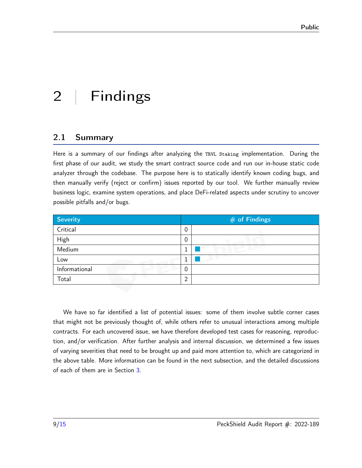# <span id="page-8-0"></span>2 | Findings

## <span id="page-8-1"></span>2.1 Summary

Here is a summary of our findings after analyzing the TRVL Staking implementation. During the first phase of our audit, we study the smart contract source code and run our in-house static code analyzer through the codebase. The purpose here is to statically identify known coding bugs, and then manually verify (reject or confirm) issues reported by our tool. We further manually review business logic, examine system operations, and place DeFi-related aspects under scrutiny to uncover possible pitfalls and/or bugs.

| <b>Severity</b> | $#$ of Findings |  |  |
|-----------------|-----------------|--|--|
| Critical        | 0               |  |  |
| High            | 0               |  |  |
| Medium          |                 |  |  |
| Low             |                 |  |  |
| Informational   | 0               |  |  |
| Total           | ി               |  |  |

We have so far identified a list of potential issues: some of them involve subtle corner cases that might not be previously thought of, while others refer to unusual interactions among multiple contracts. For each uncovered issue, we have therefore developed test cases for reasoning, reproduction, and/or verification. After further analysis and internal discussion, we determined a few issues of varying severities that need to be brought up and paid more attention to, which are categorized in the above table. More information can be found in the next subsection, and the detailed discussions of each of them are in Section [3.](#page-10-0)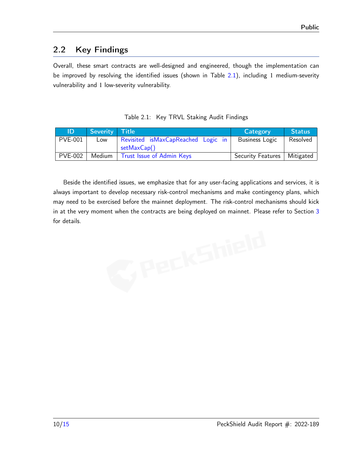## <span id="page-9-0"></span>2.2 Key Findings

Overall, these smart contracts are well-designed and engineered, though the implementation can be improved by resolving the identified issues (shown in Table [2.1\)](#page-9-1), including 1 medium-severity vulnerability and 1 low-severity vulnerability.

<span id="page-9-1"></span>

| ID             | Severity Title |                                    | <b>Category</b>          | <b>Status</b> |
|----------------|----------------|------------------------------------|--------------------------|---------------|
| PVE-001        | Low            | Revisited isMaxCapReached Logic in | <b>Business Logic</b>    | Resolved      |
|                |                | setMaxCap()                        |                          |               |
| <b>PVE-002</b> | Medium         | Trust Issue of Admin Keys          | <b>Security Features</b> | Mitigated     |

|  |  | Table 2.1: Key TRVL Staking Audit Findings |  |
|--|--|--------------------------------------------|--|
|--|--|--------------------------------------------|--|

Beside the identified issues, we emphasize that for any user-facing applications and services, it is always important to develop necessary risk-control mechanisms and make contingency plans, which may need to be exercised before the mainnet deployment. The risk-control mechanisms should kick in at the very moment when the contracts are being deployed on mainnet. Please refer to Section [3](#page-10-0) for details.

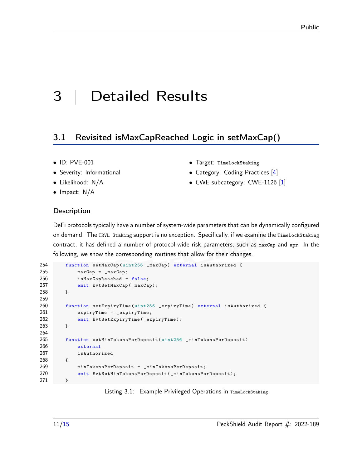## <span id="page-10-0"></span>3 | Detailed Results

## <span id="page-10-1"></span>3.1 Revisited isMaxCapReached Logic in setMaxCap()

- ID: PVE-001
- Severity: Informational
- Likelihood: N/A
- Impact: N/A
	-
- Target: TimeLockStaking
- Category: Coding Practices [\[4\]](#page-14-5)
- CWE subcategory: CWE-1126 [\[1\]](#page-14-6)

#### **Description**

DeFi protocols typically have a number of system-wide parameters that can be dynamically configured on demand. The TRVL Staking support is no exception. Specifically, if we examine the TimeLockStaking contract, it has defined a number of protocol-wide risk parameters, such as maxCap and apr. In the following, we show the corresponding routines that allow for their changes.

```
254 function setMaxCap ( uint256 _maxCap ) external isAuthorized {
255 maxCap = _maxCap ;
256 isMaxCapReached = false ;
257 emit EvtSetMaxCap (_maxCap);
258 }
259
260 function setExpiryTime (uint256 _expiryTime) external isAuthorized {
261 expiryTime = _expiryTime ;
262 emit EvtSetExpiryTime ( _expiryTime ) ;
263 }
264
265 function setMinTokensPerDeposit ( uint256 _minTokensPerDeposit )
266 external
267 isAuthorized
268 {
269 minTokensPerDeposit = _minTokensPerDeposit ;
270 emit EvtSetMinTokensPerDeposit ( _minTokensPerDeposit );
271 }
```
Listing 3.1: Example Privileged Operations in TimeLockStaking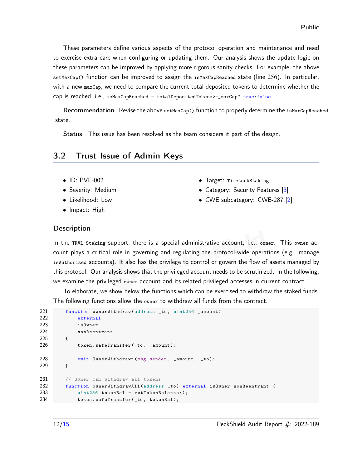These parameters define various aspects of the protocol operation and maintenance and need to exercise extra care when configuring or updating them. Our analysis shows the update logic on these parameters can be improved by applying more rigorous sanity checks. For example, the above setMaxCap() function can be improved to assign the isMaxCapReached state (line 256). In particular, with a new maxCap, we need to compare the current total deposited tokens to determine whether the cap is reached, i.e., isMaxCapReached = totalDepositedTokens>=\_maxCap? true:false.

Recommendation Revise the above setMaxCap() function to properly determine the isMaxCapReached state.

Status This issue has been resolved as the team considers it part of the design.

#### <span id="page-11-0"></span>3.2 Trust Issue of Admin Keys

- ID: PVE-002
- Severity: Medium
- Likelihood: Low
- Impact: High
- Target: TimeLockStaking
- Category: Security Features [\[3\]](#page-14-7)
- CWE subcategory: CWE-287 [\[2\]](#page-14-8)

#### **Description**

In the TRVL Staking support, there is a special administrative account, i.e., owner. This owner account plays a critical role in governing and regulating the protocol-wide operations (e.g., manage isAuthorized accounts). It also has the privilege to control or govern the flow of assets managed by this protocol. Our analysis shows that the privileged account needs to be scrutinized. In the following, we examine the privileged owner account and its related privileged accesses in current contract.

To elaborate, we show below the functions which can be exercised to withdraw the staked funds. The following functions allow the owner to withdraw all funds from the contract.

```
221 function ownerWithdraw (address _to, uint256 _amount)
222 external
223 isOwner
224 nonReentrant
225 {
226 token.safeTransfer(_to, _amount);
228 emit OwnerWithdrawn (msg.sender, amount, to);
229 }
231 // Owner can withdraw all tokens
232 function ownerWithdrawAll ( address _to ) external isOwner nonReentrant {
233 uint256 tokenBal = getTokenBalance () ;
234 token . safeTransfer (_to , tokenBal );
```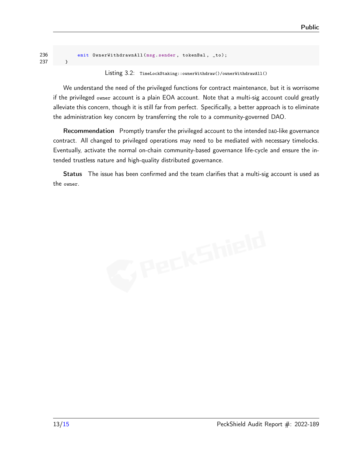```
236 emit OwnerWithdrawnAll (msg. sender, tokenBal, _to);
237 }
```

```
Listing 3.2: TimeLockStaking::ownerWithdraw()/ownerWithdrawAll()
```
We understand the need of the privileged functions for contract maintenance, but it is worrisome if the privileged owner account is a plain EOA account. Note that a multi-sig account could greatly alleviate this concern, though it is still far from perfect. Specifically, a better approach is to eliminate the administration key concern by transferring the role to a community-governed DAO.

Recommendation Promptly transfer the privileged account to the intended DAO-like governance contract. All changed to privileged operations may need to be mediated with necessary timelocks. Eventually, activate the normal on-chain community-based governance life-cycle and ensure the intended trustless nature and high-quality distributed governance.

Status The issue has been confirmed and the team clarifies that a multi-sig account is used as the owner.

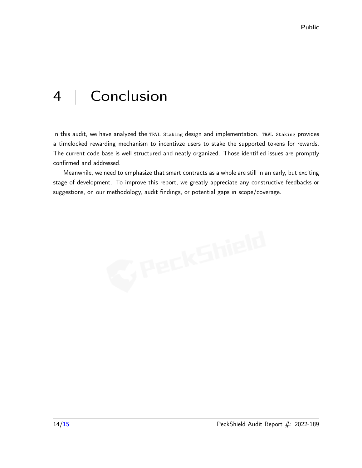## <span id="page-13-0"></span>4 | Conclusion

In this audit, we have analyzed the TRVL Staking design and implementation. TRVL Staking provides a timelocked rewarding mechanism to incentivze users to stake the supported tokens for rewards. The current code base is well structured and neatly organized. Those identified issues are promptly confirmed and addressed.

Meanwhile, we need to emphasize that smart contracts as a whole are still in an early, but exciting stage of development. To improve this report, we greatly appreciate any constructive feedbacks or suggestions, on our methodology, audit findings, or potential gaps in scope/coverage.